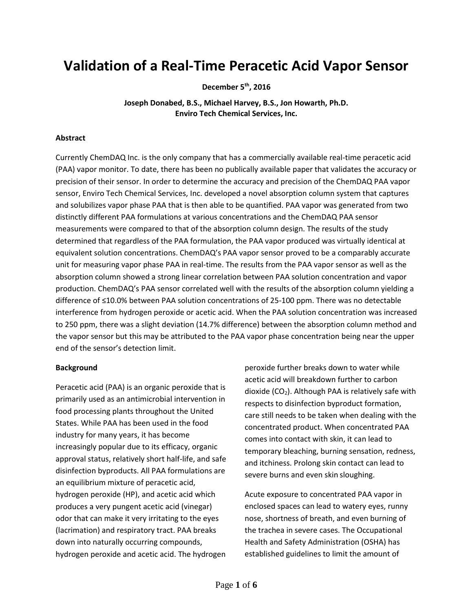# **Validation of a Real-Time Peracetic Acid Vapor Sensor**

**December 5th, 2016**

**Joseph Donabed, B.S., Michael Harvey, B.S., Jon Howarth, Ph.D. Enviro Tech Chemical Services, Inc.**

#### **Abstract**

Currently ChemDAQ Inc. is the only company that has a commercially available real-time peracetic acid (PAA) vapor monitor. To date, there has been no publically available paper that validates the accuracy or precision of their sensor. In order to determine the accuracy and precision of the ChemDAQ PAA vapor sensor, Enviro Tech Chemical Services, Inc. developed a novel absorption column system that captures and solubilizes vapor phase PAA that is then able to be quantified. PAA vapor was generated from two distinctly different PAA formulations at various concentrations and the ChemDAQ PAA sensor measurements were compared to that of the absorption column design. The results of the study determined that regardless of the PAA formulation, the PAA vapor produced was virtually identical at equivalent solution concentrations. ChemDAQ's PAA vapor sensor proved to be a comparably accurate unit for measuring vapor phase PAA in real-time. The results from the PAA vapor sensor as well as the absorption column showed a strong linear correlation between PAA solution concentration and vapor production. ChemDAQ's PAA sensor correlated well with the results of the absorption column yielding a difference of ≤10.0% between PAA solution concentrations of 25-100 ppm. There was no detectable interference from hydrogen peroxide or acetic acid. When the PAA solution concentration was increased to 250 ppm, there was a slight deviation (14.7% difference) between the absorption column method and the vapor sensor but this may be attributed to the PAA vapor phase concentration being near the upper end of the sensor's detection limit.

#### **Background**

Peracetic acid (PAA) is an organic peroxide that is primarily used as an antimicrobial intervention in food processing plants throughout the United States. While PAA has been used in the food industry for many years, it has become increasingly popular due to its efficacy, organic approval status, relatively short half-life, and safe disinfection byproducts. All PAA formulations are an equilibrium mixture of peracetic acid, hydrogen peroxide (HP), and acetic acid which produces a very pungent acetic acid (vinegar) odor that can make it very irritating to the eyes (lacrimation) and respiratory tract. PAA breaks down into naturally occurring compounds, hydrogen peroxide and acetic acid. The hydrogen peroxide further breaks down to water while acetic acid will breakdown further to carbon dioxide (CO2). Although PAA is relatively safe with respects to disinfection byproduct formation, care still needs to be taken when dealing with the concentrated product. When concentrated PAA comes into contact with skin, it can lead to temporary bleaching, burning sensation, redness, and itchiness. Prolong skin contact can lead to severe burns and even skin sloughing.

Acute exposure to concentrated PAA vapor in enclosed spaces can lead to watery eyes, runny nose, shortness of breath, and even burning of the trachea in severe cases. The Occupational Health and Safety Administration (OSHA) has established guidelines to limit the amount of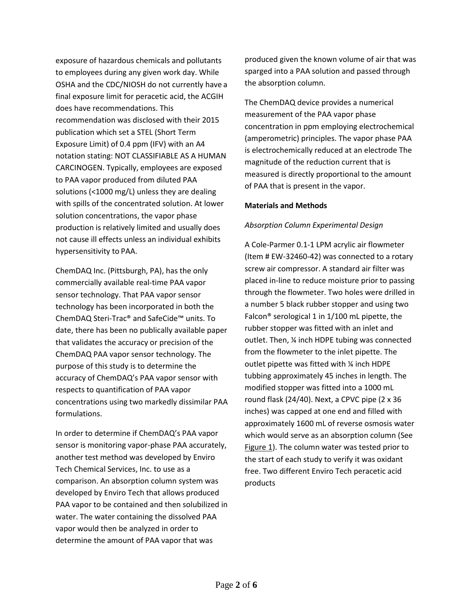exposure of hazardous chemicals and pollutants to employees during any given work day. While OSHA and the CDC/NIOSH do not currently have a final exposure limit for peracetic acid, the ACGIH does have recommendations. This recommendation was disclosed with their 2015 publication which set a STEL (Short Term Exposure Limit) of 0.4 ppm (IFV) with an A4 notation stating: NOT CLASSIFIABLE AS A HUMAN CARCINOGEN. Typically, employees are exposed to PAA vapor produced from diluted PAA solutions (<1000 mg/L) unless they are dealing with spills of the concentrated solution. At lower solution concentrations, the vapor phase production is relatively limited and usually does not cause ill effects unless an individual exhibits hypersensitivity to PAA.

ChemDAQ Inc. (Pittsburgh, PA), has the only commercially available real-time PAA vapor sensor technology. That PAA vapor sensor technology has been incorporated in both the ChemDAQ Steri-Trac® and SafeCide™ units. To date, there has been no publically available paper that validates the accuracy or precision of the ChemDAQ PAA vapor sensor technology. The purpose of this study is to determine the accuracy of ChemDAQ's PAA vapor sensor with respects to quantification of PAA vapor concentrations using two markedly dissimilar PAA formulations.

In order to determine if ChemDAQ's PAA vapor sensor is monitoring vapor-phase PAA accurately, another test method was developed by Enviro Tech Chemical Services, Inc. to use as a comparison. An absorption column system was developed by Enviro Tech that allows produced PAA vapor to be contained and then solubilized in water. The water containing the dissolved PAA vapor would then be analyzed in order to determine the amount of PAA vapor that was

produced given the known volume of air that was sparged into a PAA solution and passed through the absorption column.

The ChemDAQ device provides a numerical measurement of the PAA vapor phase concentration in ppm employing electrochemical (amperometric) principles. The vapor phase PAA is electrochemically reduced at an electrode The magnitude of the reduction current that is measured is directly proportional to the amount of PAA that is present in the vapor.

#### **Materials and Methods**

#### *Absorption Column Experimental Design*

A Cole-Parmer 0.1-1 LPM acrylic air flowmeter (Item # EW-32460-42) was connected to a rotary screw air compressor. A standard air filter was placed in-line to reduce moisture prior to passing through the flowmeter. Two holes were drilled in a number 5 black rubber stopper and using two Falcon® serological 1 in 1/100 mL pipette, the rubber stopper was fitted with an inlet and outlet. Then, ¼ inch HDPE tubing was connected from the flowmeter to the inlet pipette. The outlet pipette was fitted with ¼ inch HDPE tubbing approximately 45 inches in length. The modified stopper was fitted into a 1000 mL round flask (24/40). Next, a CPVC pipe (2 x 36 inches) was capped at one end and filled with approximately 1600 mL of reverse osmosis water which would serve as an absorption column (See Figure 1). The column water was tested prior to the start of each study to verify it was oxidant free. Two different Enviro Tech peracetic acid products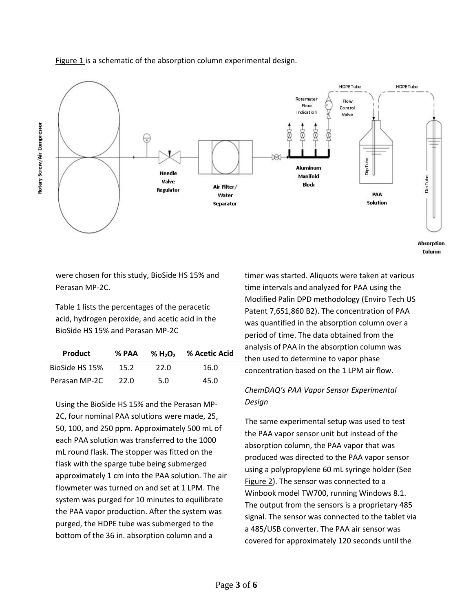

#### Figure 1 is a schematic of the absorption column experimental design.

were chosen for this study, BioSide HS 15% and Perasan MP-2C.

Table 1 lists the percentages of the peracetic acid, hydrogen peroxide, and acetic acid in the BioSide HS 15% and Perasan MP-2C

| <b>Product</b> | % PAA |      | % H <sub>2</sub> O <sub>2</sub> % Acetic Acid |
|----------------|-------|------|-----------------------------------------------|
| BioSide HS 15% | 15.2  | 22.0 | 16.0                                          |
| Perasan MP-2C  | 22.0  | 5.0  | 45.0                                          |

Using the BioSide HS 15% and the Perasan MP-2C, four nominal PAA solutions were made, 25, 50, 100, and 250 ppm. Approximately 500 mL of each PAA solution was transferred to the 1000 mL round flask. The stopper was fitted on the flask with the sparge tube being submerged approximately 1 cm into the PAA solution. The air flowmeter was turned on and set at 1 LPM. The system was purged for 10 minutes to equilibrate the PAA vapor production. After the system was purged, the HDPE tube was submerged to the bottom of the 36 in. absorption column and a

timer was started. Aliquots were taken at various time intervals and analyzed for PAA using the Modified Palin DPD methodology (Enviro Tech US Patent 7,651,860 B2). The concentration of PAA was quantified in the absorption column over a period of time. The data obtained from the analysis of PAA in the absorption column was then used to determine to vapor phase concentration based on the 1 LPM air flow.

## *ChemDAQ's PAA Vapor Sensor Experimental Design*

The same experimental setup was used to test the PAA vapor sensor unit but instead of the absorption column, the PAA vapor that was produced was directed to the PAA vapor sensor using a polypropylene 60 mL syringe holder (See Figure 2). The sensor was connected to a Winbook model TW700, running Windows 8.1. The output from the sensors is a proprietary 485 signal. The sensor was connected to the tablet via a 485/USB converter. The PAA air sensor was covered for approximately 120 seconds until the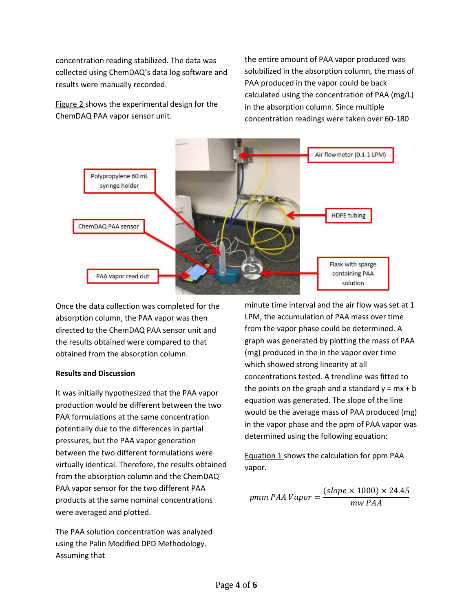concentration reading stabilized. The data was collected using ChemDAQ's data log software and results were manually recorded.

Figure 2 shows the experimental design for the ChemDAQ PAA vapor sensor unit.

the entire amount of PAA vapor produced was solubilized in the absorption column, the mass of PAA produced in the vapor could be back calculated using the concentration of PAA (mg/L) in the absorption column. Since multiple concentration readings were taken over 60-180



Once the data collection was completed for the absorption column, the PAA vapor was then directed to the ChemDAQ PAA sensor unit and the results obtained were compared to that obtained from the absorption column.

### **Results and Discussion**

It was initially hypothesized that the PAA vapor production would be different between the two PAA formulations at the same concentration potentially due to the differences in partial pressures, but the PAA vapor generation between the two different formulations were virtually identical. Therefore, the results obtained from the absorption column and the ChemDAQ PAA vapor sensor for the two different PAA products at the same nominal concentrations were averaged and plotted.

The PAA solution concentration was analyzed using the Palin Modified DPD Methodology. Assuming that

minute time interval and the air flow was set at 1 LPM, the accumulation of PAA mass over time from the vapor phase could be determined. A graph was generated by plotting the mass of PAA (mg) produced in the in the vapor over time which showed strong linearity at all concentrations tested. A trendline was fitted to the points on the graph and a standard  $y = mx + b$ equation was generated. The slope of the line would be the average mass of PAA produced (mg) in the vapor phase and the ppm of PAA vapor was determined using the following equation:

Equation 1 shows the calculation for ppm PAA vapor.

pmm PAA Vapor =  $(slope \times 1000) \times 24.45$ mw PAA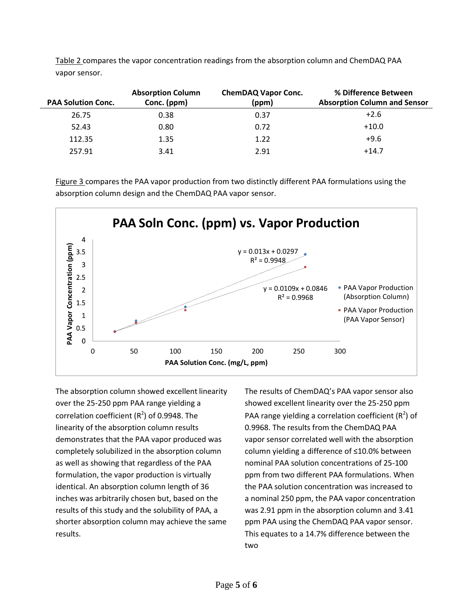| <b>PAA Solution Conc.</b> | <b>Absorption Column</b><br>Conc. (ppm) | <b>ChemDAQ Vapor Conc.</b><br>(ppm) | % Difference Between<br><b>Absorption Column and Sensor</b> |
|---------------------------|-----------------------------------------|-------------------------------------|-------------------------------------------------------------|
| 26.75                     | 0.38                                    | 0.37                                | $+2.6$                                                      |
| 52.43                     | 0.80                                    | 0.72                                | $+10.0$                                                     |
| 112.35                    | 1.35                                    | 1.22                                | $+9.6$                                                      |
| 257.91                    | 3.41                                    | 2.91                                | $+14.7$                                                     |

Table 2 compares the vapor concentration readings from the absorption column and ChemDAQ PAA vapor sensor.

Figure 3 compares the PAA vapor production from two distinctly different PAA formulations using the absorption column design and the ChemDAQ PAA vapor sensor.



The absorption column showed excellent linearity over the 25-250 ppm PAA range yielding a correlation coefficient ( $R^2$ ) of 0.9948. The linearity of the absorption column results demonstrates that the PAA vapor produced was completely solubilized in the absorption column as well as showing that regardless of the PAA formulation, the vapor production is virtually identical. An absorption column length of 36 inches was arbitrarily chosen but, based on the results of this study and the solubility of PAA, a shorter absorption column may achieve the same results.

The results of ChemDAQ's PAA vapor sensor also showed excellent linearity over the 25-250 ppm PAA range yielding a correlation coefficient ( $R^2$ ) of 0.9968. The results from the ChemDAQ PAA vapor sensor correlated well with the absorption column yielding a difference of ≤10.0% between nominal PAA solution concentrations of 25-100 ppm from two different PAA formulations. When the PAA solution concentration was increased to a nominal 250 ppm, the PAA vapor concentration was 2.91 ppm in the absorption column and 3.41 ppm PAA using the ChemDAQ PAA vapor sensor. This equates to a 14.7% difference between the two